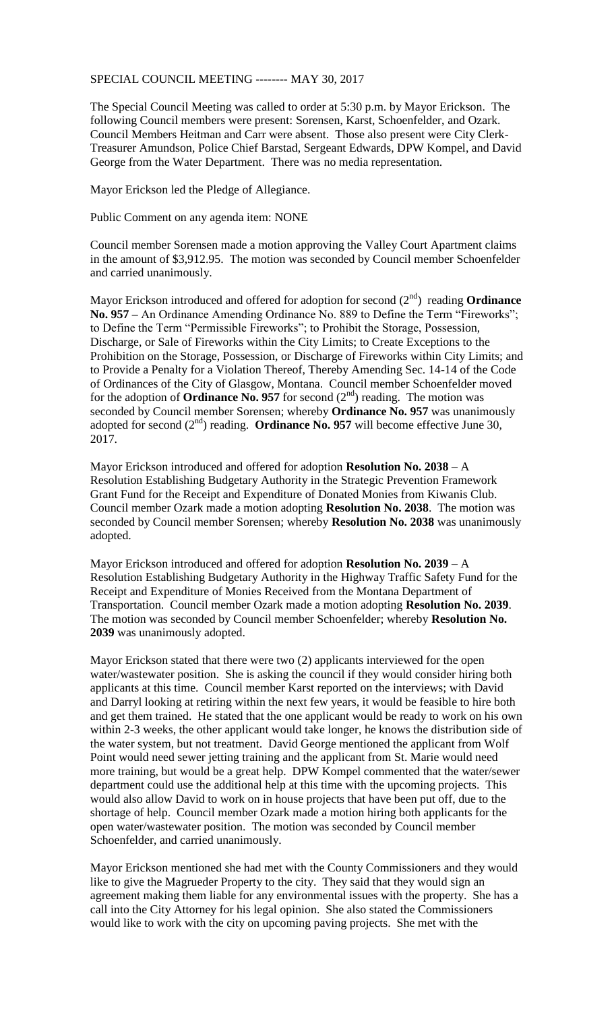SPECIAL COUNCIL MEETING -------- MAY 30, 2017

The Special Council Meeting was called to order at 5:30 p.m. by Mayor Erickson. The following Council members were present: Sorensen, Karst, Schoenfelder, and Ozark. Council Members Heitman and Carr were absent. Those also present were City Clerk-Treasurer Amundson, Police Chief Barstad, Sergeant Edwards, DPW Kompel, and David George from the Water Department. There was no media representation.

Mayor Erickson led the Pledge of Allegiance.

Public Comment on any agenda item: NONE

Council member Sorensen made a motion approving the Valley Court Apartment claims in the amount of \$3,912.95. The motion was seconded by Council member Schoenfelder and carried unanimously.

Mayor Erickson introduced and offered for adoption for second (2<sup>nd</sup>) reading **Ordinance No. 957 –** An Ordinance Amending Ordinance No. 889 to Define the Term "Fireworks"; to Define the Term "Permissible Fireworks"; to Prohibit the Storage, Possession, Discharge, or Sale of Fireworks within the City Limits; to Create Exceptions to the Prohibition on the Storage, Possession, or Discharge of Fireworks within City Limits; and to Provide a Penalty for a Violation Thereof, Thereby Amending Sec. 14-14 of the Code of Ordinances of the City of Glasgow, Montana. Council member Schoenfelder moved for the adoption of **Ordinance No. 957** for second  $(2<sup>nd</sup>)$  reading. The motion was seconded by Council member Sorensen; whereby **Ordinance No. 957** was unanimously adopted for second  $(2<sup>nd</sup>)$  reading. **Ordinance No. 957** will become effective June 30, 2017.

Mayor Erickson introduced and offered for adoption **Resolution No. 2038** – A Resolution Establishing Budgetary Authority in the Strategic Prevention Framework Grant Fund for the Receipt and Expenditure of Donated Monies from Kiwanis Club. Council member Ozark made a motion adopting **Resolution No. 2038**. The motion was seconded by Council member Sorensen; whereby **Resolution No. 2038** was unanimously adopted.

Mayor Erickson introduced and offered for adoption **Resolution No. 2039** – A Resolution Establishing Budgetary Authority in the Highway Traffic Safety Fund for the Receipt and Expenditure of Monies Received from the Montana Department of Transportation. Council member Ozark made a motion adopting **Resolution No. 2039**. The motion was seconded by Council member Schoenfelder; whereby **Resolution No. 2039** was unanimously adopted.

Mayor Erickson stated that there were two (2) applicants interviewed for the open water/wastewater position. She is asking the council if they would consider hiring both applicants at this time. Council member Karst reported on the interviews; with David and Darryl looking at retiring within the next few years, it would be feasible to hire both and get them trained. He stated that the one applicant would be ready to work on his own within 2-3 weeks, the other applicant would take longer, he knows the distribution side of the water system, but not treatment. David George mentioned the applicant from Wolf Point would need sewer jetting training and the applicant from St. Marie would need more training, but would be a great help. DPW Kompel commented that the water/sewer department could use the additional help at this time with the upcoming projects. This would also allow David to work on in house projects that have been put off, due to the shortage of help. Council member Ozark made a motion hiring both applicants for the open water/wastewater position. The motion was seconded by Council member Schoenfelder, and carried unanimously.

Mayor Erickson mentioned she had met with the County Commissioners and they would like to give the Magrueder Property to the city. They said that they would sign an agreement making them liable for any environmental issues with the property. She has a call into the City Attorney for his legal opinion. She also stated the Commissioners would like to work with the city on upcoming paving projects. She met with the